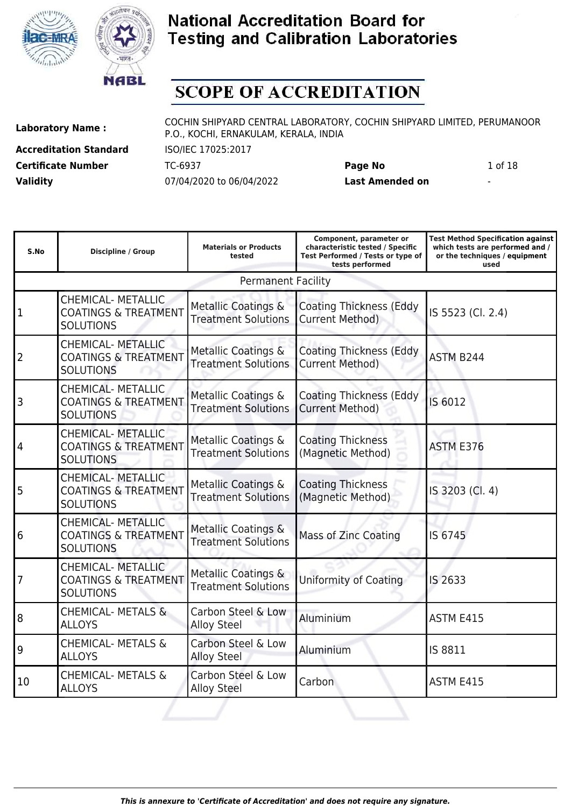



# **SCOPE OF ACCREDITATION**

**Accreditation Standard** ISO/IEC 17025:2017 **Validity** 07/04/2020 to 06/04/2022 **Last Amended on** -

**Laboratory Name :** COCHIN SHIPYARD CENTRAL LABORATORY, COCHIN SHIPYARD LIMITED, PERUMANOOR P.O., KOCHI, ERNAKULAM, KERALA, INDIA

**Certificate Number** TC-6937 **Page No** 1 of 18

| S.No            | <b>Discipline / Group</b>                                                        | <b>Materials or Products</b><br>tested                       | Component, parameter or<br>characteristic tested / Specific<br>Test Performed / Tests or type of<br>tests performed | <b>Test Method Specification against</b><br>which tests are performed and /<br>or the techniques / equipment<br>used |
|-----------------|----------------------------------------------------------------------------------|--------------------------------------------------------------|---------------------------------------------------------------------------------------------------------------------|----------------------------------------------------------------------------------------------------------------------|
|                 |                                                                                  | <b>Permanent Facility</b>                                    |                                                                                                                     |                                                                                                                      |
| 1               | <b>CHEMICAL- METALLIC</b><br><b>COATINGS &amp; TREATMENT</b><br><b>SOLUTIONS</b> | Metallic Coatings &<br><b>Treatment Solutions</b>            | <b>Coating Thickness (Eddy</b><br><b>Current Method)</b>                                                            | IS 5523 (Cl. 2.4)                                                                                                    |
| 2               | <b>CHEMICAL- METALLIC</b><br><b>COATINGS &amp; TREATMENT</b><br><b>SOLUTIONS</b> | Metallic Coatings &<br><b>Treatment Solutions</b>            | <b>Coating Thickness (Eddy</b><br><b>Current Method)</b>                                                            | ASTM B244                                                                                                            |
| 3               | <b>CHEMICAL- METALLIC</b><br><b>COATINGS &amp; TREATMENT</b><br><b>SOLUTIONS</b> | Metallic Coatings &<br><b>Treatment Solutions</b>            | <b>Coating Thickness (Eddy</b><br><b>Current Method)</b>                                                            | IS 6012                                                                                                              |
| $\overline{4}$  | <b>CHEMICAL- METALLIC</b><br><b>COATINGS &amp; TREATMENT</b><br><b>SOLUTIONS</b> | Metallic Coatings &<br><b>Treatment Solutions</b>            | <b>Coating Thickness</b><br>(Magnetic Method)                                                                       | ASTM E376                                                                                                            |
| 5               | <b>CHEMICAL- METALLIC</b><br><b>COATINGS &amp; TREATMENT</b><br><b>SOLUTIONS</b> | Metallic Coatings &<br><b>Treatment Solutions</b>            | <b>Coating Thickness</b><br>(Magnetic Method)                                                                       | IS 3203 (Cl. 4)                                                                                                      |
| $6\phantom{.}6$ | <b>CHEMICAL- METALLIC</b><br><b>COATINGS &amp; TREATMENT</b><br><b>SOLUTIONS</b> | <b>Metallic Coatings &amp;</b><br><b>Treatment Solutions</b> | <b>Mass of Zinc Coating</b>                                                                                         | IS 6745                                                                                                              |
| $\overline{7}$  | <b>CHEMICAL- METALLIC</b><br><b>COATINGS &amp; TREATMENT</b><br><b>SOLUTIONS</b> | Metallic Coatings &<br><b>Treatment Solutions</b>            | <b>Uniformity of Coating</b>                                                                                        | IS 2633                                                                                                              |
| $\overline{8}$  | <b>CHEMICAL- METALS &amp;</b><br><b>ALLOYS</b>                                   | Carbon Steel & Low<br><b>Alloy Steel</b>                     | Aluminium                                                                                                           | ASTM E415                                                                                                            |
| 9               | <b>CHEMICAL- METALS &amp;</b><br><b>ALLOYS</b>                                   | Carbon Steel & Low<br><b>Alloy Steel</b>                     | Aluminium                                                                                                           | IS 8811                                                                                                              |
| 10              | <b>CHEMICAL- METALS &amp;</b><br><b>ALLOYS</b>                                   | Carbon Steel & Low<br><b>Alloy Steel</b>                     | Carbon                                                                                                              | ASTM E415                                                                                                            |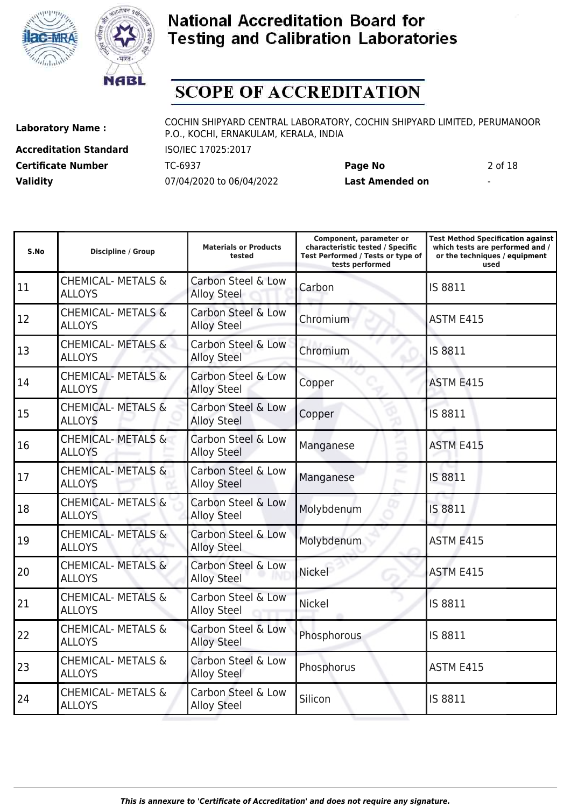



# **SCOPE OF ACCREDITATION**

**Accreditation Standard** ISO/IEC 17025:2017 **Validity** 07/04/2020 to 06/04/2022 **Last Amended on** -

**Laboratory Name :** COCHIN SHIPYARD CENTRAL LABORATORY, COCHIN SHIPYARD LIMITED, PERUMANOOR P.O., KOCHI, ERNAKULAM, KERALA, INDIA

**Certificate Number** TC-6937 **Page No** 2 of 18

| S.No | <b>Discipline / Group</b>                      | <b>Materials or Products</b><br>tested   | Component, parameter or<br>characteristic tested / Specific<br>Test Performed / Tests or type of<br>tests performed | <b>Test Method Specification against</b><br>which tests are performed and /<br>or the techniques / equipment<br>used |
|------|------------------------------------------------|------------------------------------------|---------------------------------------------------------------------------------------------------------------------|----------------------------------------------------------------------------------------------------------------------|
| 11   | <b>CHEMICAL- METALS &amp;</b><br><b>ALLOYS</b> | Carbon Steel & Low<br>Alloy Steel        | Carbon                                                                                                              | IS 8811                                                                                                              |
| 12   | <b>CHEMICAL- METALS &amp;</b><br><b>ALLOYS</b> | Carbon Steel & Low<br><b>Alloy Steel</b> | Chromium                                                                                                            | <b>ASTM E415</b>                                                                                                     |
| 13   | <b>CHEMICAL- METALS &amp;</b><br><b>ALLOYS</b> | Carbon Steel & Low<br><b>Alloy Steel</b> | Chromium                                                                                                            | IS 8811                                                                                                              |
| 14   | <b>CHEMICAL- METALS &amp;</b><br><b>ALLOYS</b> | Carbon Steel & Low<br><b>Alloy Steel</b> | Copper                                                                                                              | ASTM E415                                                                                                            |
| 15   | <b>CHEMICAL- METALS &amp;</b><br><b>ALLOYS</b> | Carbon Steel & Low<br><b>Alloy Steel</b> | Copper                                                                                                              | IS 8811                                                                                                              |
| 16   | <b>CHEMICAL- METALS &amp;</b><br><b>ALLOYS</b> | Carbon Steel & Low<br><b>Alloy Steel</b> | Manganese                                                                                                           | <b>ASTM E415</b>                                                                                                     |
| 17   | <b>CHEMICAL- METALS &amp;</b><br><b>ALLOYS</b> | Carbon Steel & Low<br><b>Alloy Steel</b> | Manganese                                                                                                           | IS 8811                                                                                                              |
| 18   | <b>CHEMICAL- METALS &amp;</b><br><b>ALLOYS</b> | Carbon Steel & Low<br><b>Alloy Steel</b> | Molybdenum                                                                                                          | IS 8811                                                                                                              |
| 19   | <b>CHEMICAL- METALS &amp;</b><br><b>ALLOYS</b> | Carbon Steel & Low<br><b>Alloy Steel</b> | Molybdenum                                                                                                          | <b>ASTM E415</b>                                                                                                     |
| 20   | <b>CHEMICAL- METALS &amp;</b><br><b>ALLOYS</b> | Carbon Steel & Low<br><b>Alloy Steel</b> | Nickel                                                                                                              | ASTM E415                                                                                                            |
| 21   | <b>CHEMICAL- METALS &amp;</b><br><b>ALLOYS</b> | Carbon Steel & Low<br><b>Alloy Steel</b> | <b>Nickel</b>                                                                                                       | IS 8811                                                                                                              |
| 22   | <b>CHEMICAL- METALS &amp;</b><br><b>ALLOYS</b> | Carbon Steel & Low<br><b>Alloy Steel</b> | Phosphorous                                                                                                         | IS 8811                                                                                                              |
| 23   | <b>CHEMICAL- METALS &amp;</b><br><b>ALLOYS</b> | Carbon Steel & Low<br><b>Alloy Steel</b> | Phosphorus                                                                                                          | ASTM E415                                                                                                            |
| 24   | <b>CHEMICAL- METALS &amp;</b><br><b>ALLOYS</b> | Carbon Steel & Low<br><b>Alloy Steel</b> | Silicon                                                                                                             | IS 8811                                                                                                              |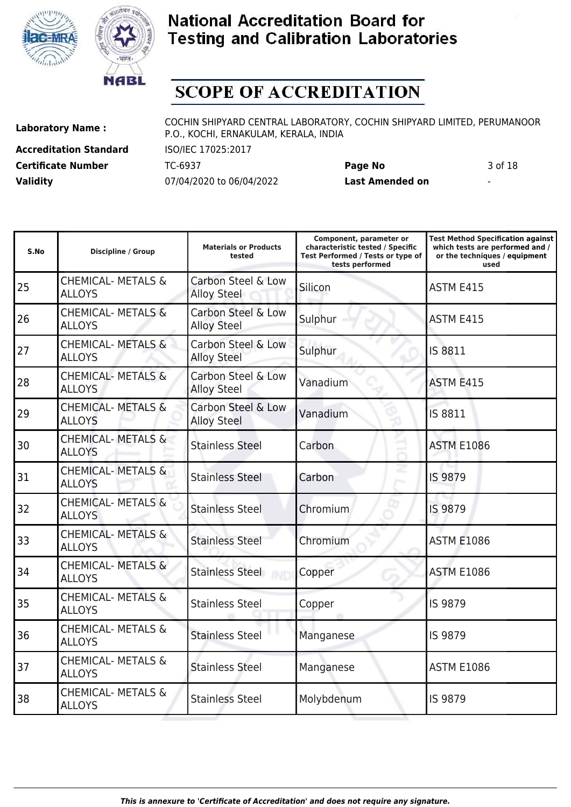



## **SCOPE OF ACCREDITATION**

**Accreditation Standard** ISO/IEC 17025:2017 **Validity** 07/04/2020 to 06/04/2022 **Last Amended on** -

**Laboratory Name :** COCHIN SHIPYARD CENTRAL LABORATORY, COCHIN SHIPYARD LIMITED, PERUMANOOR P.O., KOCHI, ERNAKULAM, KERALA, INDIA

**Certificate Number** TC-6937 **Page No** 3 of 18

| S.No | <b>Discipline / Group</b>                      | <b>Materials or Products</b><br>tested   | Component, parameter or<br>characteristic tested / Specific<br>Test Performed / Tests or type of<br>tests performed | <b>Test Method Specification against</b><br>which tests are performed and /<br>or the techniques / equipment<br>used |
|------|------------------------------------------------|------------------------------------------|---------------------------------------------------------------------------------------------------------------------|----------------------------------------------------------------------------------------------------------------------|
| 25   | <b>CHEMICAL- METALS &amp;</b><br><b>ALLOYS</b> | Carbon Steel & Low<br><b>Alloy Steel</b> | Silicon                                                                                                             | ASTM E415                                                                                                            |
| 26   | <b>CHEMICAL- METALS &amp;</b><br><b>ALLOYS</b> | Carbon Steel & Low<br><b>Alloy Steel</b> | Sulphur                                                                                                             | ASTM E415                                                                                                            |
| 27   | <b>CHEMICAL- METALS &amp;</b><br><b>ALLOYS</b> | Carbon Steel & Low<br><b>Alloy Steel</b> | Sulphur                                                                                                             | IS 8811                                                                                                              |
| 28   | <b>CHEMICAL- METALS &amp;</b><br><b>ALLOYS</b> | Carbon Steel & Low<br><b>Alloy Steel</b> | Vanadium                                                                                                            | ASTM E415                                                                                                            |
| 29   | <b>CHEMICAL- METALS &amp;</b><br><b>ALLOYS</b> | Carbon Steel & Low<br><b>Alloy Steel</b> | Vanadium                                                                                                            | IS 8811                                                                                                              |
| 30   | <b>CHEMICAL- METALS &amp;</b><br><b>ALLOYS</b> | <b>Stainless Steel</b>                   | Carbon                                                                                                              | <b>ASTM E1086</b>                                                                                                    |
| 31   | <b>CHEMICAL- METALS &amp;</b><br><b>ALLOYS</b> | <b>Stainless Steel</b>                   | Carbon                                                                                                              | IS 9879                                                                                                              |
| 32   | <b>CHEMICAL- METALS &amp;</b><br><b>ALLOYS</b> | <b>Stainless Steel</b>                   | Chromium                                                                                                            | IS 9879                                                                                                              |
| 33   | <b>CHEMICAL- METALS &amp;</b><br><b>ALLOYS</b> | <b>Stainless Steel</b>                   | Chromium                                                                                                            | <b>ASTM E1086</b>                                                                                                    |
| 34   | <b>CHEMICAL- METALS &amp;</b><br><b>ALLOYS</b> | <b>Stainless Steel</b>                   | Copper                                                                                                              | <b>ASTM E1086</b>                                                                                                    |
| 35   | <b>CHEMICAL- METALS &amp;</b><br><b>ALLOYS</b> | <b>Stainless Steel</b>                   | Copper                                                                                                              | IS 9879                                                                                                              |
| 36   | <b>CHEMICAL- METALS &amp;</b><br><b>ALLOYS</b> | <b>Stainless Steel</b>                   | Manganese                                                                                                           | IS 9879                                                                                                              |
| 37   | <b>CHEMICAL- METALS &amp;</b><br><b>ALLOYS</b> | <b>Stainless Steel</b>                   | Manganese                                                                                                           | <b>ASTM E1086</b>                                                                                                    |
| 38   | <b>CHEMICAL- METALS &amp;</b><br><b>ALLOYS</b> | <b>Stainless Steel</b>                   | Molybdenum                                                                                                          | IS 9879                                                                                                              |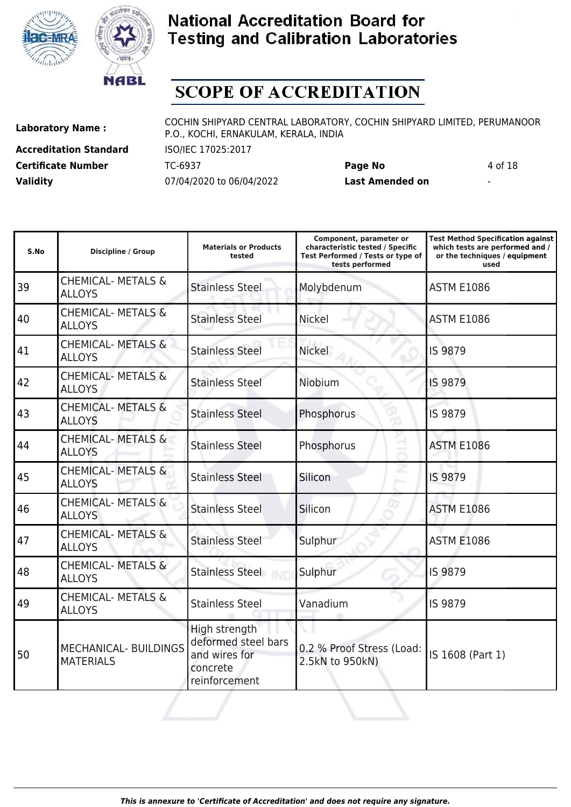



# **SCOPE OF ACCREDITATION**

**Accreditation Standard** ISO/IEC 17025:2017 **Validity** 07/04/2020 to 06/04/2022 **Last Amended on** -

**Laboratory Name :** COCHIN SHIPYARD CENTRAL LABORATORY, COCHIN SHIPYARD LIMITED, PERUMANOOR P.O., KOCHI, ERNAKULAM, KERALA, INDIA

**Certificate Number** TC-6937 **Page No** 4 of 18

| S.No | <b>Discipline / Group</b>                        | <b>Materials or Products</b><br>tested                                             | Component, parameter or<br>characteristic tested / Specific<br>Test Performed / Tests or type of<br>tests performed | <b>Test Method Specification against</b><br>which tests are performed and /<br>or the techniques / equipment<br>used |
|------|--------------------------------------------------|------------------------------------------------------------------------------------|---------------------------------------------------------------------------------------------------------------------|----------------------------------------------------------------------------------------------------------------------|
| 39   | <b>CHEMICAL- METALS &amp;</b><br><b>ALLOYS</b>   | <b>Stainless Steel</b>                                                             | Molybdenum                                                                                                          | <b>ASTM E1086</b>                                                                                                    |
| 40   | <b>CHEMICAL- METALS &amp;</b><br><b>ALLOYS</b>   | <b>Stainless Steel</b>                                                             | <b>Nickel</b>                                                                                                       | <b>ASTM E1086</b>                                                                                                    |
| 41   | <b>CHEMICAL- METALS &amp;</b><br><b>ALLOYS</b>   | <b>Stainless Steel</b>                                                             | <b>Nickel</b>                                                                                                       | IS 9879                                                                                                              |
| 42   | <b>CHEMICAL- METALS &amp;</b><br><b>ALLOYS</b>   | <b>Stainless Steel</b>                                                             | Niobium                                                                                                             | IS 9879                                                                                                              |
| 43   | <b>CHEMICAL- METALS &amp;</b><br><b>ALLOYS</b>   | <b>Stainless Steel</b>                                                             | Phosphorus                                                                                                          | <b>IS 9879</b>                                                                                                       |
| 44   | <b>CHEMICAL- METALS &amp;</b><br><b>ALLOYS</b>   | <b>Stainless Steel</b>                                                             | Phosphorus                                                                                                          | <b>ASTM E1086</b>                                                                                                    |
| 45   | <b>CHEMICAL- METALS &amp;</b><br><b>ALLOYS</b>   | <b>Stainless Steel</b>                                                             | Silicon                                                                                                             | IS 9879                                                                                                              |
| 46   | <b>CHEMICAL- METALS &amp;</b><br><b>ALLOYS</b>   | <b>Stainless Steel</b>                                                             | Silicon                                                                                                             | <b>ASTM E1086</b>                                                                                                    |
| 47   | <b>CHEMICAL- METALS &amp;</b><br><b>ALLOYS</b>   | <b>Stainless Steel</b>                                                             | Sulphur                                                                                                             | <b>ASTM E1086</b>                                                                                                    |
| 48   | <b>CHEMICAL- METALS &amp;</b><br><b>ALLOYS</b>   | <b>Stainless Steel</b>                                                             | Sulphur                                                                                                             | IS 9879                                                                                                              |
| 49   | <b>CHEMICAL- METALS &amp;</b><br><b>ALLOYS</b>   | <b>Stainless Steel</b>                                                             | Vanadium                                                                                                            | IS 9879                                                                                                              |
| 50   | <b>MECHANICAL- BUILDINGS</b><br><b>MATERIALS</b> | High strength<br>deformed steel bars<br>and wires for<br>concrete<br>reinforcement | 0.2 % Proof Stress (Load:<br>2.5kN to 950kN)                                                                        | IS 1608 (Part 1)                                                                                                     |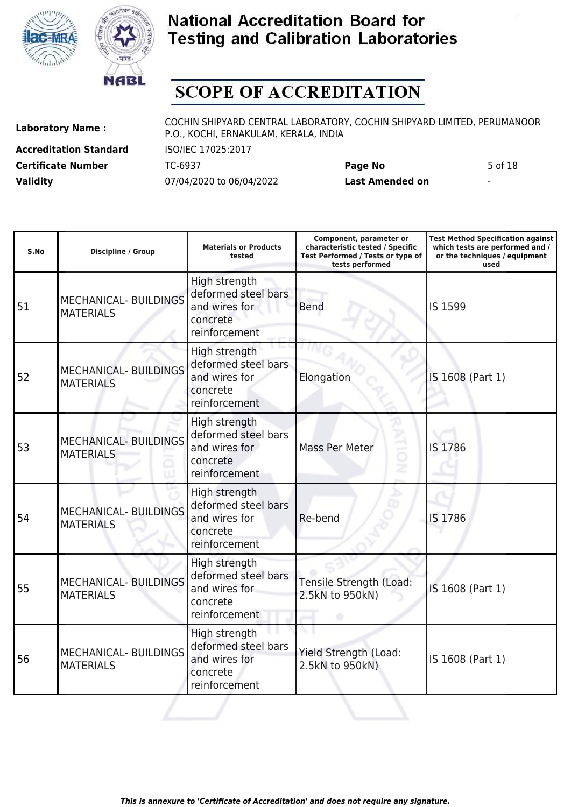



# **SCOPE OF ACCREDITATION**

**Accreditation Standard** ISO/IEC 17025:2017 **Validity** 07/04/2020 to 06/04/2022 **Last Amended on** -

**Laboratory Name :** COCHIN SHIPYARD CENTRAL LABORATORY, COCHIN SHIPYARD LIMITED, PERUMANOOR P.O., KOCHI, ERNAKULAM, KERALA, INDIA

**Certificate Number** TC-6937 **Page No** 5 of 18

| S.No | <b>Discipline / Group</b>                        | <b>Materials or Products</b><br>tested                                             | Component, parameter or<br>characteristic tested / Specific<br>Test Performed / Tests or type of<br>tests performed | <b>Test Method Specification against</b><br>which tests are performed and /<br>or the techniques / equipment<br>used |
|------|--------------------------------------------------|------------------------------------------------------------------------------------|---------------------------------------------------------------------------------------------------------------------|----------------------------------------------------------------------------------------------------------------------|
| 51   | <b>MECHANICAL- BUILDINGS</b><br><b>MATERIALS</b> | High strength<br>deformed steel bars<br>and wires for<br>concrete<br>reinforcement | <b>Bend</b>                                                                                                         | IS 1599                                                                                                              |
| 52   | <b>MECHANICAL- BUILDINGS</b><br><b>MATERIALS</b> | High strength<br>deformed steel bars<br>and wires for<br>concrete<br>reinforcement | Elongation                                                                                                          | IS 1608 (Part 1)                                                                                                     |
| 53   | <b>MECHANICAL- BUILDINGS</b><br><b>MATERIALS</b> | High strength<br>deformed steel bars<br>and wires for<br>concrete<br>reinforcement | Mass Per Meter                                                                                                      | IS 1786                                                                                                              |
| 54   | <b>MECHANICAL- BUILDINGS</b><br><b>MATERIALS</b> | High strength<br>deformed steel bars<br>and wires for<br>concrete<br>reinforcement | Re-bend                                                                                                             | IS 1786                                                                                                              |
| 55   | <b>MECHANICAL- BUILDINGS</b><br><b>MATERIALS</b> | High strength<br>deformed steel bars<br>and wires for<br>concrete<br>reinforcement | Tensile Strength (Load:<br>2.5kN to 950kN)                                                                          | IS 1608 (Part 1)                                                                                                     |
| 56   | <b>MECHANICAL- BUILDINGS</b><br><b>MATERIALS</b> | High strength<br>deformed steel bars<br>and wires for<br>concrete<br>reinforcement | Yield Strength (Load:<br>2.5kN to 950kN)                                                                            | IS 1608 (Part 1)                                                                                                     |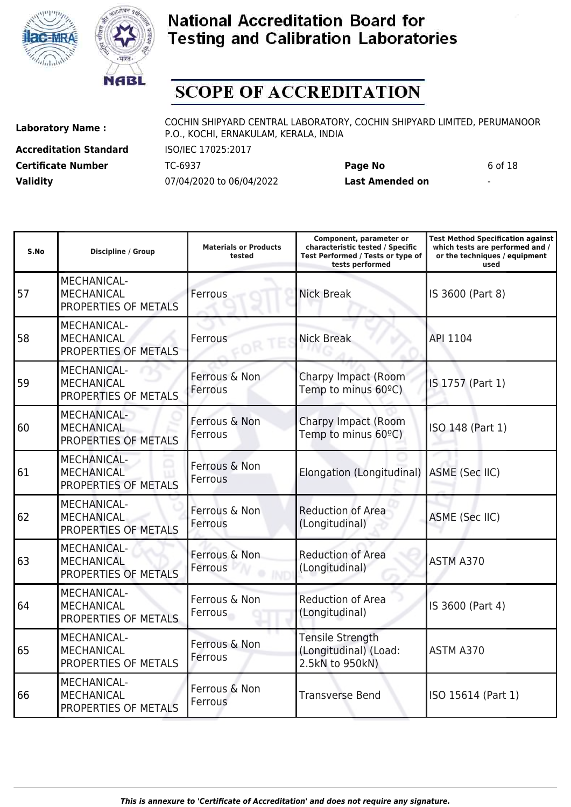



# **SCOPE OF ACCREDITATION**

**Accreditation Standard** ISO/IEC 17025:2017 **Validity** 07/04/2020 to 06/04/2022 **Last Amended on** -

**Laboratory Name :** COCHIN SHIPYARD CENTRAL LABORATORY, COCHIN SHIPYARD LIMITED, PERUMANOOR P.O., KOCHI, ERNAKULAM, KERALA, INDIA

**Certificate Number** TC-6937 **Page No** 6 of 18

| S.No | <b>Discipline / Group</b>                                       | <b>Materials or Products</b><br>tested | Component, parameter or<br>characteristic tested / Specific<br>Test Performed / Tests or type of<br>tests performed | <b>Test Method Specification against</b><br>which tests are performed and /<br>or the techniques / equipment<br>used |
|------|-----------------------------------------------------------------|----------------------------------------|---------------------------------------------------------------------------------------------------------------------|----------------------------------------------------------------------------------------------------------------------|
| 57   | <b>MECHANICAL-</b><br><b>MECHANICAL</b><br>PROPERTIES OF METALS | Ferrous                                | <b>Nick Break</b>                                                                                                   | IS 3600 (Part 8)                                                                                                     |
| 58   | <b>MECHANICAL-</b><br><b>MECHANICAL</b><br>PROPERTIES OF METALS | Ferrous                                | <b>Nick Break</b>                                                                                                   | API 1104                                                                                                             |
| 59   | <b>MECHANICAL-</b><br><b>MECHANICAL</b><br>PROPERTIES OF METALS | Ferrous & Non<br>Ferrous               | Charpy Impact (Room<br>Temp to minus 60°C)                                                                          | IS 1757 (Part 1)                                                                                                     |
| 60   | <b>MECHANICAL-</b><br><b>MECHANICAL</b><br>PROPERTIES OF METALS | Ferrous & Non<br>Ferrous               | Charpy Impact (Room<br>Temp to minus 60°C)                                                                          | ISO 148 (Part 1)                                                                                                     |
| 61   | <b>MECHANICAL-</b><br><b>MECHANICAL</b><br>PROPERTIES OF METALS | Ferrous & Non<br>Ferrous               | Elongation (Longitudinal) ASME (Sec IIC)                                                                            |                                                                                                                      |
| 62   | <b>MECHANICAL-</b><br><b>MECHANICAL</b><br>PROPERTIES OF METALS | Ferrous & Non<br>Ferrous               | <b>Reduction of Area</b><br>(Longitudinal)                                                                          | <b>ASME (Sec IIC)</b>                                                                                                |
| 63   | MECHANICAL-<br><b>MECHANICAL</b><br>PROPERTIES OF METALS        | Ferrous & Non<br>Ferrous               | <b>Reduction of Area</b><br>(Longitudinal)                                                                          | ASTM A370                                                                                                            |
| 64   | <b>MECHANICAL-</b><br><b>MECHANICAL</b><br>PROPERTIES OF METALS | Ferrous & Non<br>Ferrous               | <b>Reduction of Area</b><br>(Longitudinal)                                                                          | IS 3600 (Part 4)                                                                                                     |
| 65   | <b>MECHANICAL-</b><br><b>MECHANICAL</b><br>PROPERTIES OF METALS | Ferrous & Non<br>Ferrous               | <b>Tensile Strength</b><br>(Longitudinal) (Load:<br>2.5kN to 950kN)                                                 | ASTM A370                                                                                                            |
| 66   | MECHANICAL-<br><b>MECHANICAL</b><br>PROPERTIES OF METALS        | Ferrous & Non<br>Ferrous               | <b>Transverse Bend</b>                                                                                              | ISO 15614 (Part 1)                                                                                                   |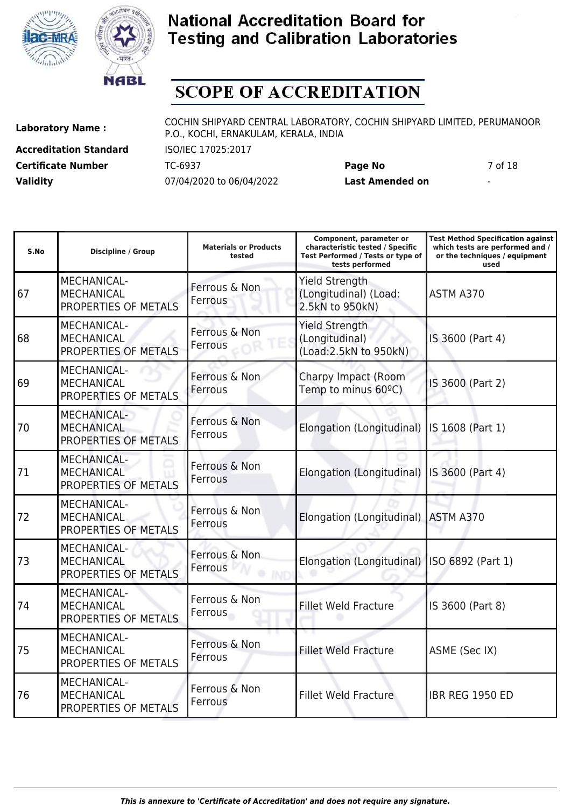



# **SCOPE OF ACCREDITATION**

**Accreditation Standard** ISO/IEC 17025:2017 **Validity** 07/04/2020 to 06/04/2022 **Last Amended on** -

**Laboratory Name :** COCHIN SHIPYARD CENTRAL LABORATORY, COCHIN SHIPYARD LIMITED, PERUMANOOR P.O., KOCHI, ERNAKULAM, KERALA, INDIA

**Certificate Number** TC-6937 **Page No** 7 of 18

| S.No | Discipline / Group                                              | <b>Materials or Products</b><br>tested | Component, parameter or<br>characteristic tested / Specific<br>Test Performed / Tests or type of<br>tests performed | <b>Test Method Specification against</b><br>which tests are performed and /<br>or the techniques / equipment<br>used |
|------|-----------------------------------------------------------------|----------------------------------------|---------------------------------------------------------------------------------------------------------------------|----------------------------------------------------------------------------------------------------------------------|
| 67   | MECHANICAL-<br><b>MECHANICAL</b><br>PROPERTIES OF METALS        | Ferrous & Non<br>Ferrous               | <b>Yield Strength</b><br>(Longitudinal) (Load:<br>2.5kN to 950kN)                                                   | ASTM A370                                                                                                            |
| 68   | MECHANICAL-<br><b>MECHANICAL</b><br>PROPERTIES OF METALS        | Ferrous & Non<br>Ferrous               | <b>Yield Strength</b><br>(Longitudinal)<br>(Load: 2.5kN to 950kN)                                                   | IS 3600 (Part 4)                                                                                                     |
| 69   | <b>MECHANICAL-</b><br><b>MECHANICAL</b><br>PROPERTIES OF METALS | Ferrous & Non<br>Ferrous               | Charpy Impact (Room<br>Temp to minus 60°C)                                                                          | IS 3600 (Part 2)                                                                                                     |
| 70   | <b>MECHANICAL-</b><br><b>MECHANICAL</b><br>PROPERTIES OF METALS | Ferrous & Non<br>Ferrous               | Elongation (Longitudinal)                                                                                           | IS 1608 (Part 1)                                                                                                     |
| 71   | <b>MECHANICAL-</b><br><b>MECHANICAL</b><br>PROPERTIES OF METALS | Ferrous & Non<br>Ferrous               | Elongation (Longitudinal) IS 3600 (Part 4)                                                                          |                                                                                                                      |
| 72   | <b>MECHANICAL-</b><br><b>MECHANICAL</b><br>PROPERTIES OF METALS | Ferrous & Non<br>Ferrous               | Elongation (Longitudinal)                                                                                           | ASTM A370                                                                                                            |
| 73   | <b>MECHANICAL-</b><br><b>MECHANICAL</b><br>PROPERTIES OF METALS | Ferrous & Non<br>Ferrous               | Elongation (Longitudinal)                                                                                           | ISO 6892 (Part 1)                                                                                                    |
| 74   | <b>MECHANICAL-</b><br><b>MECHANICAL</b><br>PROPERTIES OF METALS | Ferrous & Non<br>Ferrous               | <b>Fillet Weld Fracture</b>                                                                                         | IS 3600 (Part 8)                                                                                                     |
| 75   | MECHANICAL-<br><b>MECHANICAL</b><br>PROPERTIES OF METALS        | Ferrous & Non<br>Ferrous               | <b>Fillet Weld Fracture</b>                                                                                         | ASME (Sec IX)                                                                                                        |
| 76   | <b>MECHANICAL-</b><br><b>MECHANICAL</b><br>PROPERTIES OF METALS | Ferrous & Non<br>Ferrous               | <b>Fillet Weld Fracture</b>                                                                                         | <b>IBR REG 1950 ED</b>                                                                                               |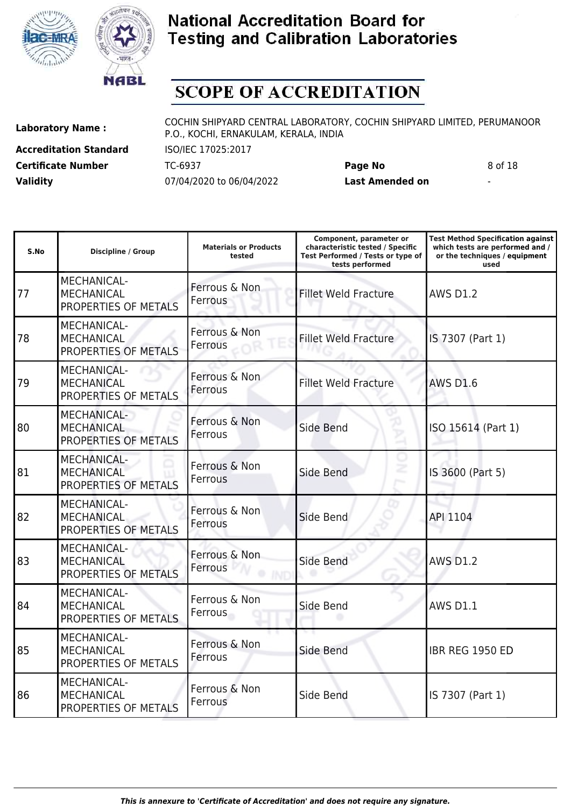



# **SCOPE OF ACCREDITATION**

**Accreditation Standard** ISO/IEC 17025:2017 **Validity** 07/04/2020 to 06/04/2022 **Last Amended on** -

**Laboratory Name :** COCHIN SHIPYARD CENTRAL LABORATORY, COCHIN SHIPYARD LIMITED, PERUMANOOR P.O., KOCHI, ERNAKULAM, KERALA, INDIA

**Certificate Number** TC-6937 **Page No** 8 of 18

| S.No | <b>Discipline / Group</b>                                       | <b>Materials or Products</b><br>tested | Component, parameter or<br>characteristic tested / Specific<br>Test Performed / Tests or type of<br>tests performed | <b>Test Method Specification against</b><br>which tests are performed and /<br>or the techniques / equipment<br>used |
|------|-----------------------------------------------------------------|----------------------------------------|---------------------------------------------------------------------------------------------------------------------|----------------------------------------------------------------------------------------------------------------------|
| 77   | MECHANICAL-<br><b>MECHANICAL</b><br>PROPERTIES OF METALS        | Ferrous & Non<br>Ferrous               | <b>Fillet Weld Fracture</b>                                                                                         | <b>AWS D1.2</b>                                                                                                      |
| 78   | <b>MECHANICAL-</b><br><b>MECHANICAL</b><br>PROPERTIES OF METALS | Ferrous & Non<br>Ferrous               | <b>Fillet Weld Fracture</b>                                                                                         | IS 7307 (Part 1)                                                                                                     |
| 79   | <b>MECHANICAL-</b><br><b>MECHANICAL</b><br>PROPERTIES OF METALS | Ferrous & Non<br>Ferrous               | <b>Fillet Weld Fracture</b>                                                                                         | <b>AWS D1.6</b>                                                                                                      |
| 80   | MECHANICAL-<br><b>MECHANICAL</b><br>PROPERTIES OF METALS        | Ferrous & Non<br>Ferrous               | Side Bend                                                                                                           | ISO 15614 (Part 1)                                                                                                   |
| 81   | <b>MECHANICAL-</b><br><b>MECHANICAL</b><br>PROPERTIES OF METALS | Ferrous & Non<br>Ferrous               | Side Bend                                                                                                           | IS 3600 (Part 5)                                                                                                     |
| 82   | MECHANICAL-<br><b>MECHANICAL</b><br>PROPERTIES OF METALS        | Ferrous & Non<br>Ferrous               | Side Bend                                                                                                           | API 1104                                                                                                             |
| 83   | <b>MECHANICAL-</b><br><b>MECHANICAL</b><br>PROPERTIES OF METALS | Ferrous & Non<br>Ferrous               | Side Bend                                                                                                           | <b>AWS D1.2</b>                                                                                                      |
| 84   | MECHANICAL-<br><b>MECHANICAL</b><br>PROPERTIES OF METALS        | Ferrous & Non<br>Ferrous               | Side Bend                                                                                                           | <b>AWS D1.1</b>                                                                                                      |
| 85   | MECHANICAL-<br><b>MECHANICAL</b><br>PROPERTIES OF METALS        | Ferrous & Non<br>Ferrous               | Side Bend                                                                                                           | <b>IBR REG 1950 ED</b>                                                                                               |
| 86   | MECHANICAL-<br><b>MECHANICAL</b><br>PROPERTIES OF METALS        | Ferrous & Non<br>Ferrous               | Side Bend                                                                                                           | IS 7307 (Part 1)                                                                                                     |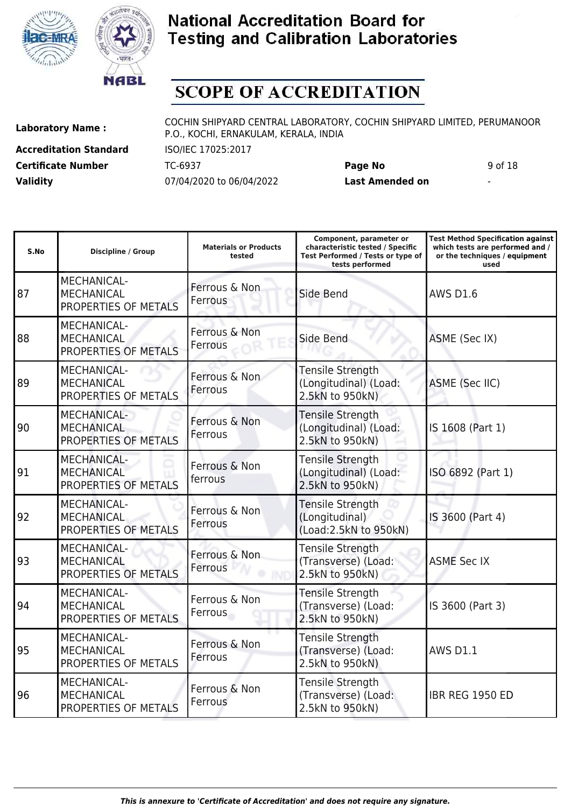



# **SCOPE OF ACCREDITATION**

**Accreditation Standard** ISO/IEC 17025:2017 **Validity** 07/04/2020 to 06/04/2022 **Last Amended on** -

**Laboratory Name :** COCHIN SHIPYARD CENTRAL LABORATORY, COCHIN SHIPYARD LIMITED, PERUMANOOR P.O., KOCHI, ERNAKULAM, KERALA, INDIA

**Certificate Number** TC-6937 **Page No** 9 of 18

| S.No | <b>Discipline / Group</b>                                       | <b>Materials or Products</b><br>tested | Component, parameter or<br>characteristic tested / Specific<br>Test Performed / Tests or type of<br>tests performed | <b>Test Method Specification against</b><br>which tests are performed and /<br>or the techniques / equipment<br>used |
|------|-----------------------------------------------------------------|----------------------------------------|---------------------------------------------------------------------------------------------------------------------|----------------------------------------------------------------------------------------------------------------------|
| 87   | <b>MECHANICAL-</b><br><b>MECHANICAL</b><br>PROPERTIES OF METALS | Ferrous & Non<br>Ferrous               | Side Bend                                                                                                           | <b>AWS D1.6</b>                                                                                                      |
| 88   | MECHANICAL-<br><b>MECHANICAL</b><br>PROPERTIES OF METALS        | Ferrous & Non<br>Ferrous               | Side Bend                                                                                                           | ASME (Sec IX)                                                                                                        |
| 89   | <b>MECHANICAL-</b><br><b>MECHANICAL</b><br>PROPERTIES OF METALS | Ferrous & Non<br>Ferrous               | <b>Tensile Strength</b><br>(Longitudinal) (Load:<br>2.5kN to 950kN)                                                 | ASME (Sec IIC)                                                                                                       |
| 90   | <b>MECHANICAL-</b><br><b>MECHANICAL</b><br>PROPERTIES OF METALS | Ferrous & Non<br>Ferrous               | <b>Tensile Strength</b><br>(Longitudinal) (Load:<br>2.5kN to 950kN)                                                 | IS 1608 (Part 1)                                                                                                     |
| 91   | <b>MECHANICAL-</b><br><b>MECHANICAL</b><br>PROPERTIES OF METALS | Ferrous & Non<br>ferrous               | <b>Tensile Strength</b><br>(Longitudinal) (Load:<br>2.5kN to 950kN)                                                 | ISO 6892 (Part 1)                                                                                                    |
| 92   | <b>MECHANICAL-</b><br><b>MECHANICAL</b><br>PROPERTIES OF METALS | Ferrous & Non<br>Ferrous               | <b>Tensile Strength</b><br>(Longitudinal)<br>(Load: 2.5kN to 950kN)                                                 | IS 3600 (Part 4)                                                                                                     |
| 93   | <b>MECHANICAL-</b><br><b>MECHANICAL</b><br>PROPERTIES OF METALS | Ferrous & Non<br>Ferrous               | <b>Tensile Strength</b><br>(Transverse) (Load:<br>2.5kN to 950kN)                                                   | <b>ASME Sec IX</b>                                                                                                   |
| 94   | MECHANICAL-<br><b>MECHANICAL</b><br>PROPERTIES OF METALS        | Ferrous & Non<br>Ferrous               | Tensile Strength<br>(Transverse) (Load:<br>2.5kN to 950kN)                                                          | IS 3600 (Part 3)                                                                                                     |
| 95   | <b>MECHANICAL-</b><br><b>MECHANICAL</b><br>PROPERTIES OF METALS | Ferrous & Non<br>Ferrous               | <b>Tensile Strength</b><br>(Transverse) (Load:<br>2.5kN to 950kN)                                                   | <b>AWS D1.1</b>                                                                                                      |
| 96   | MECHANICAL-<br><b>MECHANICAL</b><br>PROPERTIES OF METALS        | Ferrous & Non<br>Ferrous               | <b>Tensile Strength</b><br>(Transverse) (Load:<br>2.5kN to 950kN)                                                   | <b>IBR REG 1950 ED</b>                                                                                               |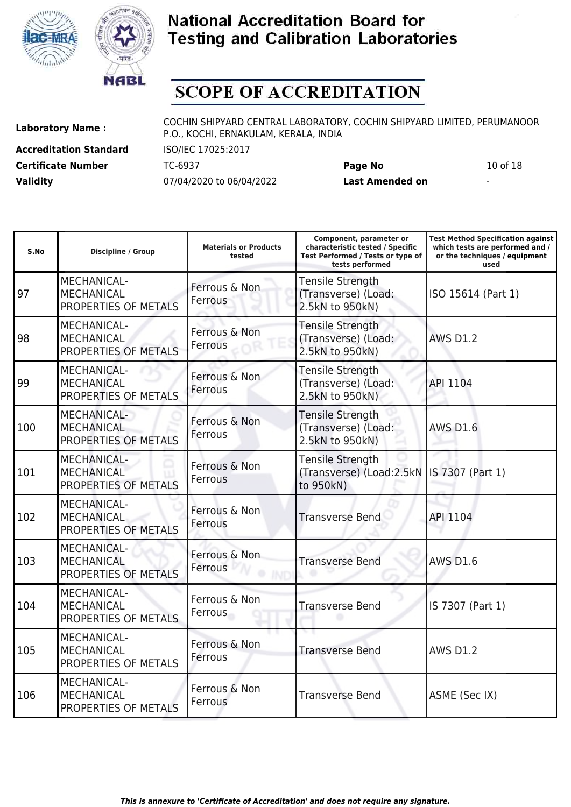



# **SCOPE OF ACCREDITATION**

**Accreditation Standard** ISO/IEC 17025:2017 **Certificate Number** TC-6937 **Page No** 10 of 18 **Validity** 07/04/2020 to 06/04/2022 **Last Amended on** -

**Laboratory Name :** COCHIN SHIPYARD CENTRAL LABORATORY, COCHIN SHIPYARD LIMITED, PERUMANOOR P.O., KOCHI, ERNAKULAM, KERALA, INDIA

| S.No | <b>Discipline / Group</b>                                       | <b>Materials or Products</b><br>tested | Component, parameter or<br>characteristic tested / Specific<br>Test Performed / Tests or type of<br>tests performed | <b>Test Method Specification against</b><br>which tests are performed and /<br>or the techniques / equipment<br>used |
|------|-----------------------------------------------------------------|----------------------------------------|---------------------------------------------------------------------------------------------------------------------|----------------------------------------------------------------------------------------------------------------------|
| 97   | <b>MECHANICAL-</b><br><b>MECHANICAL</b><br>PROPERTIES OF METALS | Ferrous & Non<br>Ferrous               | <b>Tensile Strength</b><br>(Transverse) (Load:<br>2.5kN to 950kN)                                                   | ISO 15614 (Part 1)                                                                                                   |
| 98   | MECHANICAL-<br><b>MECHANICAL</b><br>PROPERTIES OF METALS        | Ferrous & Non<br>Ferrous               | <b>Tensile Strength</b><br>(Transverse) (Load:<br>2.5kN to 950kN)                                                   | <b>AWS D1.2</b>                                                                                                      |
| 99   | MECHANICAL-<br><b>MECHANICAL</b><br>PROPERTIES OF METALS        | Ferrous & Non<br>Ferrous               | Tensile Strength<br>(Transverse) (Load:<br>2.5kN to 950kN)                                                          | API 1104                                                                                                             |
| 100  | MECHANICAL-<br><b>MECHANICAL</b><br>PROPERTIES OF METALS        | Ferrous & Non<br>Ferrous               | <b>Tensile Strength</b><br>(Transverse) (Load:<br>2.5kN to 950kN)                                                   | <b>AWS D1.6</b>                                                                                                      |
| 101  | <b>MECHANICAL-</b><br><b>MECHANICAL</b><br>PROPERTIES OF METALS | Ferrous & Non<br>Ferrous               | Tensile Strength<br>(Transverse) (Load:2.5kN   IS 7307 (Part 1)<br>to 950kN)                                        |                                                                                                                      |
| 102  | MECHANICAL-<br><b>MECHANICAL</b><br>PROPERTIES OF METALS        | Ferrous & Non<br>Ferrous               | <b>Transverse Bend</b>                                                                                              | API 1104                                                                                                             |
| 103  | MECHANICAL-<br><b>MECHANICAL</b><br>PROPERTIES OF METALS        | Ferrous & Non<br>Ferrous               | <b>Transverse Bend</b>                                                                                              | <b>AWS D1.6</b>                                                                                                      |
| 104  | MECHANICAL-<br><b>MECHANICAL</b><br>PROPERTIES OF METALS        | Ferrous & Non<br>Ferrous               | <b>Transverse Bend</b>                                                                                              | IS 7307 (Part 1)                                                                                                     |
| 105  | <b>MECHANICAL-</b><br><b>MECHANICAL</b><br>PROPERTIES OF METALS | Ferrous & Non<br>Ferrous               | <b>Transverse Bend</b>                                                                                              | <b>AWS D1.2</b>                                                                                                      |
| 106  | MECHANICAL-<br><b>MECHANICAL</b><br>PROPERTIES OF METALS        | Ferrous & Non<br>Ferrous               | <b>Transverse Bend</b>                                                                                              | ASME (Sec IX)                                                                                                        |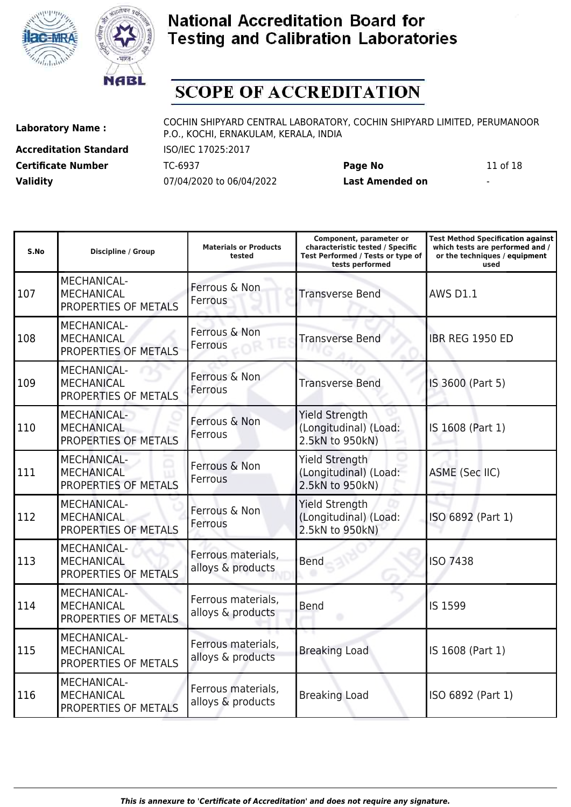



PROPERTIES OF METALS

### **National Accreditation Board for Testing and Calibration Laboratories**

# **SCOPE OF ACCREDITATION**

**Accreditation Standard** ISO/IEC 17025:2017 **Validity** 07/04/2020 to 06/04/2022 **Last Amended on** -

**Laboratory Name :** COCHIN SHIPYARD CENTRAL LABORATORY, COCHIN SHIPYARD LIMITED, PERUMANOOR P.O., KOCHI, ERNAKULAM, KERALA, INDIA

**Certificate Number** TC-6937 **Page No** 11 of 18

| S.No | <b>Discipline / Group</b>                                       | <b>Materials or Products</b><br>tested  | Component, parameter or<br>characteristic tested / Specific<br>Test Performed / Tests or type of<br>tests performed | Test Method Specification against<br>which tests are performed and /<br>or the techniques / equipment<br>used |
|------|-----------------------------------------------------------------|-----------------------------------------|---------------------------------------------------------------------------------------------------------------------|---------------------------------------------------------------------------------------------------------------|
| 107  | MECHANICAL-<br><b>MECHANICAL</b><br>PROPERTIES OF METALS        | Ferrous & Non<br>Ferrous                | <b>Transverse Bend</b>                                                                                              | <b>AWS D1.1</b>                                                                                               |
| 108  | MECHANICAL-<br><b>MECHANICAL</b><br>PROPERTIES OF METALS        | Ferrous & Non<br>Ferrous                | <b>Transverse Bend</b>                                                                                              | IBR REG 1950 ED                                                                                               |
| 109  | MECHANICAL-<br><b>MECHANICAL</b><br>PROPERTIES OF METALS        | Ferrous & Non<br>Ferrous                | <b>Transverse Bend</b>                                                                                              | IS 3600 (Part 5)                                                                                              |
| 110  | MECHANICAL-<br><b>MECHANICAL</b><br>PROPERTIES OF METALS        | Ferrous & Non<br>Ferrous                | <b>Yield Strength</b><br>(Longitudinal) (Load:<br>2.5kN to 950kN)                                                   | IS 1608 (Part 1)                                                                                              |
| 111  | <b>MECHANICAL-</b><br><b>MECHANICAL</b><br>PROPERTIES OF METALS | Ferrous & Non<br>Ferrous                | <b>Yield Strength</b><br>(Longitudinal) (Load:<br>2.5kN to 950kN)                                                   | <b>ASME (Sec IIC)</b>                                                                                         |
| 112  | MECHANICAL-<br><b>MECHANICAL</b><br>PROPERTIES OF METALS        | Ferrous & Non<br>Ferrous                | <b>Yield Strength</b><br>(Longitudinal) (Load:<br>2.5kN to 950kN)                                                   | ISO 6892 (Part 1)                                                                                             |
| 113  | MECHANICAL-<br><b>MECHANICAL</b><br>PROPERTIES OF METALS        | Ferrous materials,<br>alloys & products | <b>Bend</b>                                                                                                         | <b>ISO 7438</b>                                                                                               |
| 114  | MECHANICAL-<br><b>MECHANICAL</b><br>PROPERTIES OF METALS        | Ferrous materials,<br>alloys & products | Bend                                                                                                                | IS 1599                                                                                                       |
| 115  | MECHANICAL-<br><b>MECHANICAL</b><br>PROPERTIES OF METALS        | Ferrous materials,<br>alloys & products | <b>Breaking Load</b>                                                                                                | IS 1608 (Part 1)                                                                                              |
| 116  | MECHANICAL-<br><b>MECHANICAL</b><br>DOODEDTIEC OF METALC        | Ferrous materials,<br>alloys & products | <b>Breaking Load</b>                                                                                                | ISO 6892 (Part 1)                                                                                             |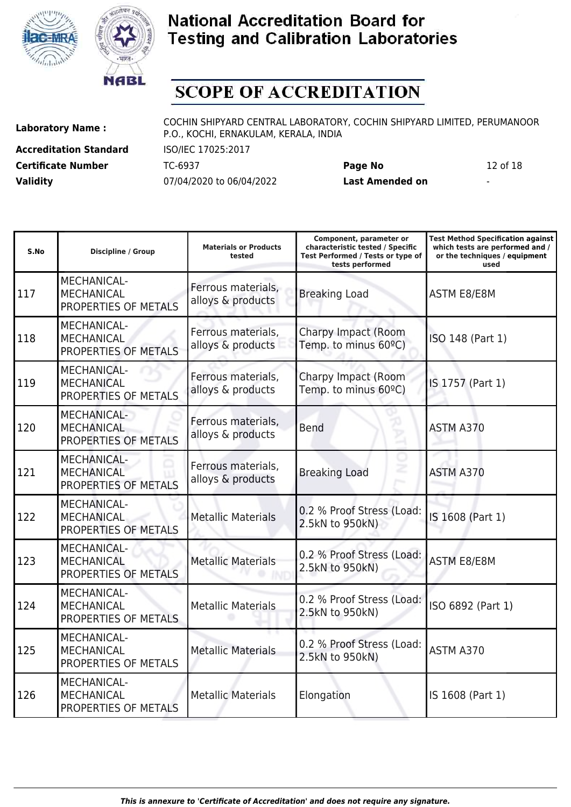



# **SCOPE OF ACCREDITATION**

**Accreditation Standard** ISO/IEC 17025:2017 **Validity** 07/04/2020 to 06/04/2022 **Last Amended on** -

**Laboratory Name :** COCHIN SHIPYARD CENTRAL LABORATORY, COCHIN SHIPYARD LIMITED, PERUMANOOR P.O., KOCHI, ERNAKULAM, KERALA, INDIA

**Certificate Number** TC-6937 **Page No** 12 of 18

| S.No | <b>Discipline / Group</b>                                       | <b>Materials or Products</b><br>tested  | Component, parameter or<br>characteristic tested / Specific<br>Test Performed / Tests or type of<br>tests performed | <b>Test Method Specification against</b><br>which tests are performed and /<br>or the techniques / equipment<br>used |
|------|-----------------------------------------------------------------|-----------------------------------------|---------------------------------------------------------------------------------------------------------------------|----------------------------------------------------------------------------------------------------------------------|
| 117  | MECHANICAL-<br><b>MECHANICAL</b><br>PROPERTIES OF METALS        | Ferrous materials,<br>alloys & products | <b>Breaking Load</b>                                                                                                | <b>ASTM E8/E8M</b>                                                                                                   |
| 118  | MECHANICAL-<br><b>MECHANICAL</b><br>PROPERTIES OF METALS        | Ferrous materials,<br>alloys & products | Charpy Impact (Room<br>Temp. to minus 60°C)                                                                         | ISO 148 (Part 1)                                                                                                     |
| 119  | <b>MECHANICAL-</b><br><b>MECHANICAL</b><br>PROPERTIES OF METALS | Ferrous materials,<br>alloys & products | Charpy Impact (Room<br>Temp. to minus 60°C)                                                                         | IS 1757 (Part 1)                                                                                                     |
| 120  | MECHANICAL-<br><b>MECHANICAL</b><br>PROPERTIES OF METALS        | Ferrous materials,<br>alloys & products | <b>Bend</b>                                                                                                         | ASTM A370                                                                                                            |
| 121  | <b>MECHANICAL-</b><br><b>MECHANICAL</b><br>PROPERTIES OF METALS | Ferrous materials,<br>alloys & products | <b>Breaking Load</b>                                                                                                | ASTM A370                                                                                                            |
| 122  | MECHANICAL-<br><b>MECHANICAL</b><br>PROPERTIES OF METALS        | <b>Metallic Materials</b>               | 0.2 % Proof Stress (Load:<br>2.5kN to 950kN)                                                                        | IS 1608 (Part 1)                                                                                                     |
| 123  | <b>MECHANICAL-</b><br><b>MECHANICAL</b><br>PROPERTIES OF METALS | <b>Metallic Materials</b>               | 0.2 % Proof Stress (Load:<br>2.5kN to 950kN)                                                                        | <b>ASTM E8/E8M</b>                                                                                                   |
| 124  | <b>MECHANICAL-</b><br><b>MECHANICAL</b><br>PROPERTIES OF METALS | <b>Metallic Materials</b>               | 0.2 % Proof Stress (Load:<br>2.5kN to 950kN)                                                                        | ISO 6892 (Part 1)                                                                                                    |
| 125  | MECHANICAL-<br><b>MECHANICAL</b><br>PROPERTIES OF METALS        | <b>Metallic Materials</b>               | 0.2 % Proof Stress (Load:<br>2.5kN to 950kN)                                                                        | ASTM A370                                                                                                            |
| 126  | MECHANICAL-<br><b>MECHANICAL</b><br>PROPERTIES OF METALS        | <b>Metallic Materials</b>               | Elongation                                                                                                          | IS 1608 (Part 1)                                                                                                     |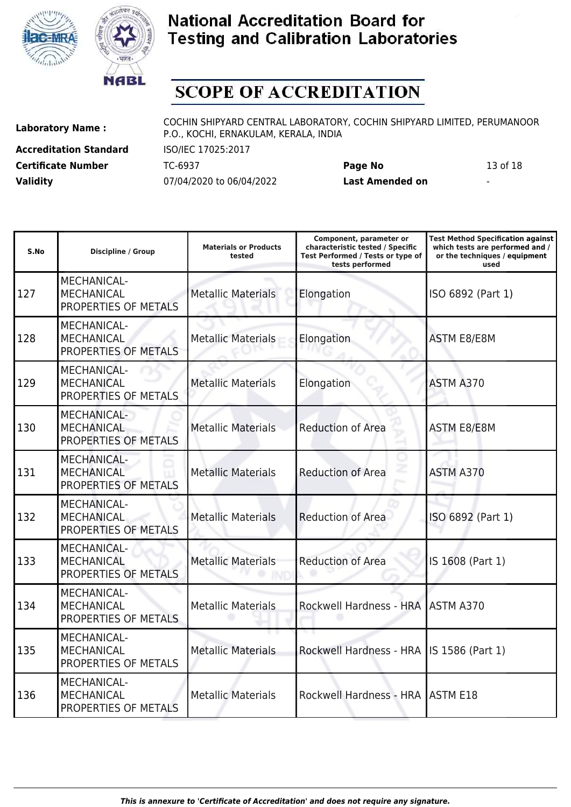



# **SCOPE OF ACCREDITATION**

**Accreditation Standard** ISO/IEC 17025:2017 **Validity** 07/04/2020 to 06/04/2022 **Last Amended on** -

**Laboratory Name :** COCHIN SHIPYARD CENTRAL LABORATORY, COCHIN SHIPYARD LIMITED, PERUMANOOR P.O., KOCHI, ERNAKULAM, KERALA, INDIA

**Certificate Number** TC-6937 **Page No** 13 of 18

| S.No | <b>Discipline / Group</b>                                       | <b>Materials or Products</b><br>tested | Component, parameter or<br>characteristic tested / Specific<br>Test Performed / Tests or type of<br>tests performed | <b>Test Method Specification against</b><br>which tests are performed and /<br>or the techniques / equipment<br>used |
|------|-----------------------------------------------------------------|----------------------------------------|---------------------------------------------------------------------------------------------------------------------|----------------------------------------------------------------------------------------------------------------------|
| 127  | <b>MECHANICAL-</b><br><b>MECHANICAL</b><br>PROPERTIES OF METALS | <b>Metallic Materials</b>              | Elongation                                                                                                          | ISO 6892 (Part 1)                                                                                                    |
| 128  | <b>MECHANICAL-</b><br><b>MECHANICAL</b><br>PROPERTIES OF METALS | <b>Metallic Materials</b>              | Elongation                                                                                                          | <b>ASTM E8/E8M</b>                                                                                                   |
| 129  | <b>MECHANICAL-</b><br><b>MECHANICAL</b><br>PROPERTIES OF METALS | <b>Metallic Materials</b>              | Elongation                                                                                                          | ASTM A370                                                                                                            |
| 130  | MECHANICAL-<br><b>MECHANICAL</b><br>PROPERTIES OF METALS        | <b>Metallic Materials</b>              | <b>Reduction of Area</b>                                                                                            | <b>ASTM E8/E8M</b>                                                                                                   |
| 131  | <b>MECHANICAL-</b><br><b>MECHANICAL</b><br>PROPERTIES OF METALS | <b>Metallic Materials</b>              | <b>Reduction of Area</b>                                                                                            | ASTM A370                                                                                                            |
| 132  | MECHANICAL-<br><b>MECHANICAL</b><br>PROPERTIES OF METALS        | <b>Metallic Materials</b>              | <b>Reduction of Area</b>                                                                                            | ISO 6892 (Part 1)                                                                                                    |
| 133  | <b>MECHANICAL-</b><br><b>MECHANICAL</b><br>PROPERTIES OF METALS | <b>Metallic Materials</b>              | <b>Reduction of Area</b>                                                                                            | IS 1608 (Part 1)                                                                                                     |
| 134  | <b>MECHANICAL-</b><br><b>MECHANICAL</b><br>PROPERTIES OF METALS | <b>Metallic Materials</b>              | Rockwell Hardness - HRA                                                                                             | ASTM A370                                                                                                            |
| 135  | MECHANICAL-<br><b>MECHANICAL</b><br>PROPERTIES OF METALS        | <b>Metallic Materials</b>              | Rockwell Hardness - HRA                                                                                             | IS 1586 (Part 1)                                                                                                     |
| 136  | MECHANICAL-<br><b>MECHANICAL</b><br>PROPERTIES OF METALS        | <b>Metallic Materials</b>              | <b>Rockwell Hardness - HRA</b>                                                                                      | <b>ASTM E18</b>                                                                                                      |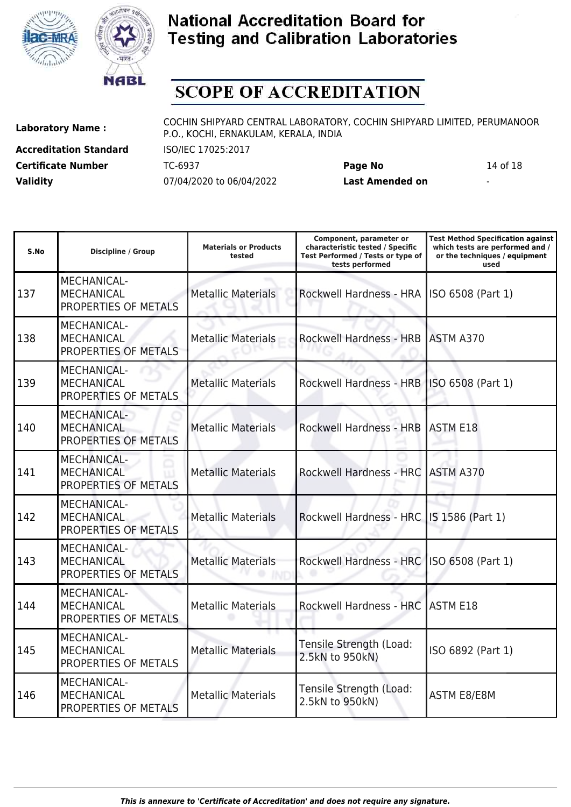



# **SCOPE OF ACCREDITATION**

**Accreditation Standard** ISO/IEC 17025:2017 **Validity** 07/04/2020 to 06/04/2022 **Last Amended on** -

**Laboratory Name :** COCHIN SHIPYARD CENTRAL LABORATORY, COCHIN SHIPYARD LIMITED, PERUMANOOR P.O., KOCHI, ERNAKULAM, KERALA, INDIA

**Certificate Number** TC-6937 **Page No** 14 of 18

| S.No | Discipline / Group                                              | <b>Materials or Products</b><br>tested | Component, parameter or<br>characteristic tested / Specific<br>Test Performed / Tests or type of<br>tests performed | <b>Test Method Specification against</b><br>which tests are performed and /<br>or the techniques / equipment<br>used |
|------|-----------------------------------------------------------------|----------------------------------------|---------------------------------------------------------------------------------------------------------------------|----------------------------------------------------------------------------------------------------------------------|
| 137  | MECHANICAL-<br><b>MECHANICAL</b><br>PROPERTIES OF METALS        | <b>Metallic Materials</b>              | Rockwell Hardness - HRA                                                                                             | ISO 6508 (Part 1)                                                                                                    |
| 138  | MECHANICAL-<br><b>MECHANICAL</b><br>PROPERTIES OF METALS        | <b>Metallic Materials</b>              | <b>Rockwell Hardness - HRB</b>                                                                                      | <b>ASTM A370</b>                                                                                                     |
| 139  | <b>MECHANICAL-</b><br><b>MECHANICAL</b><br>PROPERTIES OF METALS | <b>Metallic Materials</b>              | Rockwell Hardness - HRB   ISO 6508 (Part 1)                                                                         |                                                                                                                      |
| 140  | <b>MECHANICAL-</b><br><b>MECHANICAL</b><br>PROPERTIES OF METALS | <b>Metallic Materials</b>              | Rockwell Hardness - HRB ASTM E18                                                                                    |                                                                                                                      |
| 141  | <b>MECHANICAL-</b><br><b>MECHANICAL</b><br>PROPERTIES OF METALS | <b>Metallic Materials</b>              | Rockwell Hardness - HRC                                                                                             | ASTM A370                                                                                                            |
| 142  | MECHANICAL-<br><b>MECHANICAL</b><br>PROPERTIES OF METALS        | <b>Metallic Materials</b>              | Rockwell Hardness - HRC                                                                                             | IS 1586 (Part 1)                                                                                                     |
| 143  | MECHANICAL-<br><b>MECHANICAL</b><br>PROPERTIES OF METALS        | <b>Metallic Materials</b>              | <b>Rockwell Hardness - HRC</b>                                                                                      | ISO 6508 (Part 1)                                                                                                    |
| 144  | <b>MECHANICAL-</b><br><b>MECHANICAL</b><br>PROPERTIES OF METALS | <b>Metallic Materials</b>              | Rockwell Hardness - HRC                                                                                             | <b>ASTM E18</b>                                                                                                      |
| 145  | MECHANICAL-<br><b>MECHANICAL</b><br>PROPERTIES OF METALS        | <b>Metallic Materials</b>              | Tensile Strength (Load:<br>2.5kN to 950kN)                                                                          | ISO 6892 (Part 1)                                                                                                    |
| 146  | MECHANICAL-<br><b>MECHANICAL</b><br>PROPERTIES OF METALS        | <b>Metallic Materials</b>              | Tensile Strength (Load:<br>2.5kN to 950kN)                                                                          | <b>ASTM E8/E8M</b>                                                                                                   |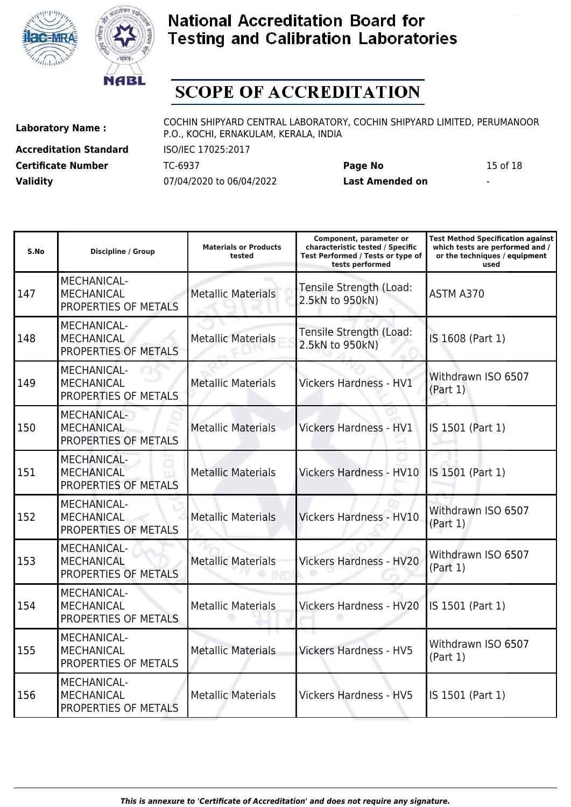



# **SCOPE OF ACCREDITATION**

**Accreditation Standard** ISO/IEC 17025:2017 **Validity** 07/04/2020 to 06/04/2022 **Last Amended on** -

**Laboratory Name :** COCHIN SHIPYARD CENTRAL LABORATORY, COCHIN SHIPYARD LIMITED, PERUMANOOR P.O., KOCHI, ERNAKULAM, KERALA, INDIA

**Certificate Number** TC-6937 **Page No** 15 of 18

| S.No | <b>Discipline / Group</b>                                       | <b>Materials or Products</b><br>tested | Component, parameter or<br>characteristic tested / Specific<br>Test Performed / Tests or type of<br>tests performed | <b>Test Method Specification against</b><br>which tests are performed and /<br>or the techniques / equipment<br>used |
|------|-----------------------------------------------------------------|----------------------------------------|---------------------------------------------------------------------------------------------------------------------|----------------------------------------------------------------------------------------------------------------------|
| 147  | MECHANICAL-<br><b>MECHANICAL</b><br>PROPERTIES OF METALS        | <b>Metallic Materials</b>              | Tensile Strength (Load:<br>2.5kN to 950kN)                                                                          | ASTM A370                                                                                                            |
| 148  | MECHANICAL-<br><b>MECHANICAL</b><br>PROPERTIES OF METALS        | <b>Metallic Materials</b>              | Tensile Strength (Load:<br>2.5kN to 950kN)                                                                          | IS 1608 (Part 1)                                                                                                     |
| 149  | MECHANICAL-<br><b>MECHANICAL</b><br>PROPERTIES OF METALS        | <b>Metallic Materials</b>              | <b>Vickers Hardness - HV1</b>                                                                                       | Withdrawn ISO 6507<br>(Part 1)                                                                                       |
| 150  | MECHANICAL-<br><b>MECHANICAL</b><br>PROPERTIES OF METALS        | <b>Metallic Materials</b>              | <b>Vickers Hardness - HV1</b>                                                                                       | IS 1501 (Part 1)                                                                                                     |
| 151  | <b>MECHANICAL-</b><br><b>MECHANICAL</b><br>PROPERTIES OF METALS | <b>Metallic Materials</b>              | <b>Vickers Hardness - HV10</b>                                                                                      | IS 1501 (Part 1)                                                                                                     |
| 152  | <b>MECHANICAL-</b><br><b>MECHANICAL</b><br>PROPERTIES OF METALS | <b>Metallic Materials</b>              | Vickers Hardness - HV10                                                                                             | Withdrawn ISO 6507<br>(Part 1)                                                                                       |
| 153  | <b>MECHANICAL-</b><br><b>MECHANICAL</b><br>PROPERTIES OF METALS | <b>Metallic Materials</b>              | <b>Vickers Hardness - HV20</b>                                                                                      | Withdrawn ISO 6507<br>(Part 1)                                                                                       |
| 154  | <b>MECHANICAL-</b><br><b>MECHANICAL</b><br>PROPERTIES OF METALS | <b>Metallic Materials</b>              | <b>Vickers Hardness - HV20</b>                                                                                      | IS 1501 (Part 1)                                                                                                     |
| 155  | MECHANICAL-<br><b>MECHANICAL</b><br>PROPERTIES OF METALS        | <b>Metallic Materials</b>              | <b>Vickers Hardness - HV5</b>                                                                                       | Withdrawn ISO 6507<br>(Part 1)                                                                                       |
| 156  | <b>MECHANICAL-</b><br><b>MECHANICAL</b><br>PROPERTIES OF METALS | <b>Metallic Materials</b>              | <b>Vickers Hardness - HV5</b>                                                                                       | IS 1501 (Part 1)                                                                                                     |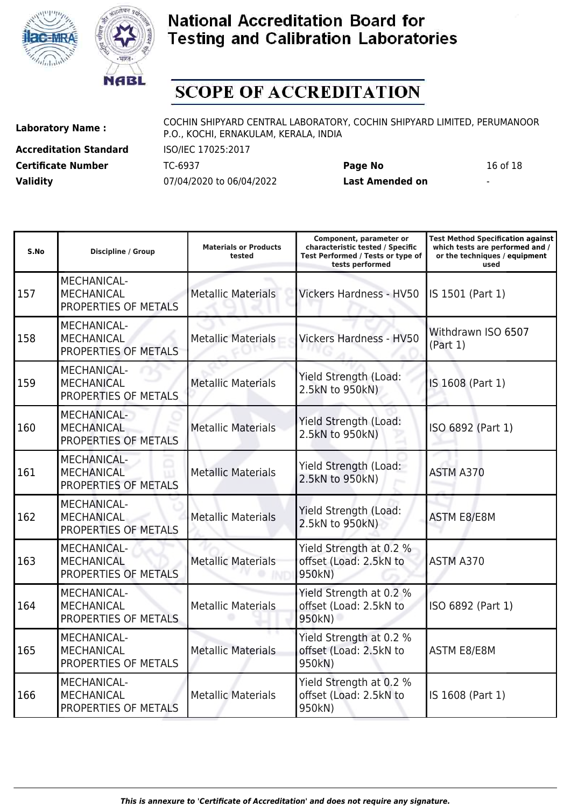



# **SCOPE OF ACCREDITATION**

**Accreditation Standard** ISO/IEC 17025:2017 **Validity** 07/04/2020 to 06/04/2022 **Last Amended on** -

**Laboratory Name :** COCHIN SHIPYARD CENTRAL LABORATORY, COCHIN SHIPYARD LIMITED, PERUMANOOR P.O., KOCHI, ERNAKULAM, KERALA, INDIA

**Certificate Number** TC-6937 **Page No** 16 of 18

| S.No | <b>Discipline / Group</b>                                       | <b>Materials or Products</b><br>tested | Component, parameter or<br>characteristic tested / Specific<br>Test Performed / Tests or type of<br>tests performed | <b>Test Method Specification against</b><br>which tests are performed and /<br>or the techniques / equipment<br>used |
|------|-----------------------------------------------------------------|----------------------------------------|---------------------------------------------------------------------------------------------------------------------|----------------------------------------------------------------------------------------------------------------------|
| 157  | MECHANICAL-<br><b>MECHANICAL</b><br>PROPERTIES OF METALS        | <b>Metallic Materials</b>              | Vickers Hardness - HV50                                                                                             | IS 1501 (Part 1)                                                                                                     |
| 158  | <b>MECHANICAL-</b><br><b>MECHANICAL</b><br>PROPERTIES OF METALS | <b>Metallic Materials</b>              | <b>Vickers Hardness - HV50</b>                                                                                      | Withdrawn ISO 6507<br>(Part 1)                                                                                       |
| 159  | <b>MECHANICAL-</b><br><b>MECHANICAL</b><br>PROPERTIES OF METALS | <b>Metallic Materials</b>              | Yield Strength (Load:<br>2.5kN to 950kN)                                                                            | IS 1608 (Part 1)                                                                                                     |
| 160  | MECHANICAL-<br><b>MECHANICAL</b><br>PROPERTIES OF METALS        | <b>Metallic Materials</b>              | Yield Strength (Load:<br>2.5kN to 950kN)                                                                            | ISO 6892 (Part 1)                                                                                                    |
| 161  | <b>MECHANICAL-</b><br><b>MECHANICAL</b><br>PROPERTIES OF METALS | <b>Metallic Materials</b>              | Yield Strength (Load:<br>2.5kN to 950kN)                                                                            | ASTM A370                                                                                                            |
| 162  | MECHANICAL-<br><b>MECHANICAL</b><br>PROPERTIES OF METALS        | <b>Metallic Materials</b>              | Yield Strength (Load:<br>2.5kN to 950kN)                                                                            | <b>ASTM E8/E8M</b>                                                                                                   |
| 163  | <b>MECHANICAL-</b><br><b>MECHANICAL</b><br>PROPERTIES OF METALS | <b>Metallic Materials</b>              | Yield Strength at 0.2 %<br>offset (Load: 2.5kN to<br>950kN)                                                         | ASTM A370                                                                                                            |
| 164  | MECHANICAL-<br><b>MECHANICAL</b><br>PROPERTIES OF METALS        | <b>Metallic Materials</b>              | Yield Strength at 0.2 %<br>offset (Load: 2.5kN to<br>950kN)                                                         | ISO 6892 (Part 1)                                                                                                    |
| 165  | MECHANICAL-<br><b>MECHANICAL</b><br>PROPERTIES OF METALS        | <b>Metallic Materials</b>              | Yield Strength at 0.2 %<br>offset (Load: 2.5kN to<br>950kN)                                                         | <b>ASTM E8/E8M</b>                                                                                                   |
| 166  | MECHANICAL-<br><b>MECHANICAL</b><br>PROPERTIES OF METALS        | <b>Metallic Materials</b>              | Yield Strength at 0.2 %<br>offset (Load: 2.5kN to<br>950kN)                                                         | IS 1608 (Part 1)                                                                                                     |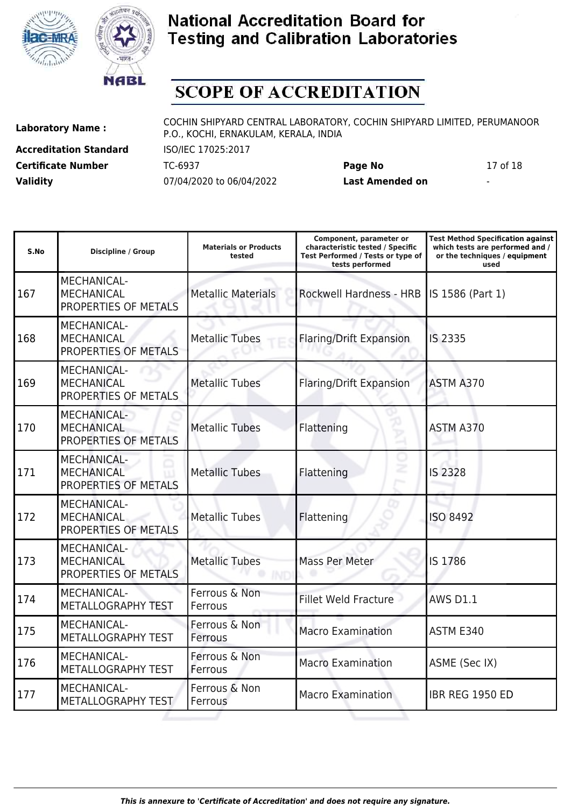



# **SCOPE OF ACCREDITATION**

**Accreditation Standard** ISO/IEC 17025:2017 **Validity** 07/04/2020 to 06/04/2022 **Last Amended on** -

**Laboratory Name :** COCHIN SHIPYARD CENTRAL LABORATORY, COCHIN SHIPYARD LIMITED, PERUMANOOR P.O., KOCHI, ERNAKULAM, KERALA, INDIA

**Certificate Number** TC-6937 **Page No** 17 of 18

| S.No | <b>Discipline / Group</b>                                       | <b>Materials or Products</b><br>tested | Component, parameter or<br>characteristic tested / Specific<br>Test Performed / Tests or type of<br>tests performed | <b>Test Method Specification against</b><br>which tests are performed and /<br>or the techniques / equipment<br>used |
|------|-----------------------------------------------------------------|----------------------------------------|---------------------------------------------------------------------------------------------------------------------|----------------------------------------------------------------------------------------------------------------------|
| 167  | MECHANICAL-<br><b>MECHANICAL</b><br>PROPERTIES OF METALS        | <b>Metallic Materials</b>              | Rockwell Hardness - HRB                                                                                             | IS 1586 (Part 1)                                                                                                     |
| 168  | MECHANICAL-<br><b>MECHANICAL</b><br>PROPERTIES OF METALS        | <b>Metallic Tubes</b>                  | <b>Flaring/Drift Expansion</b>                                                                                      | <b>IS 2335</b>                                                                                                       |
| 169  | MECHANICAL-<br><b>MECHANICAL</b><br>PROPERTIES OF METALS        | <b>Metallic Tubes</b>                  | Flaring/Drift Expansion                                                                                             | ASTM A370                                                                                                            |
| 170  | MECHANICAL-<br><b>MECHANICAL</b><br>PROPERTIES OF METALS        | <b>Metallic Tubes</b>                  | Flattening                                                                                                          | ASTM A370                                                                                                            |
| 171  | <b>MECHANICAL-</b><br><b>MECHANICAL</b><br>PROPERTIES OF METALS | <b>Metallic Tubes</b>                  | Flattening                                                                                                          | <b>IS 2328</b>                                                                                                       |
| 172  | MECHANICAL-<br><b>MECHANICAL</b><br>PROPERTIES OF METALS        | <b>Metallic Tubes</b>                  | Flattening                                                                                                          | <b>ISO 8492</b>                                                                                                      |
| 173  | <b>MECHANICAL-</b><br><b>MECHANICAL</b><br>PROPERTIES OF METALS | <b>Metallic Tubes</b>                  | Mass Per Meter                                                                                                      | IS 1786                                                                                                              |
| 174  | MECHANICAL-<br>METALLOGRAPHY TEST                               | Ferrous & Non<br>Ferrous               | <b>Fillet Weld Fracture</b>                                                                                         | <b>AWS D1.1</b>                                                                                                      |
| 175  | MECHANICAL-<br>METALLOGRAPHY TEST                               | Ferrous & Non<br>Ferrous               | <b>Macro Examination</b>                                                                                            | ASTM E340                                                                                                            |
| 176  | <b>MECHANICAL-</b><br>METALLOGRAPHY TEST                        | Ferrous & Non<br>Ferrous               | <b>Macro Examination</b>                                                                                            | ASME (Sec IX)                                                                                                        |
| 177  | <b>MECHANICAL-</b><br>METALLOGRAPHY TEST                        | Ferrous & Non<br>Ferrous               | <b>Macro Examination</b>                                                                                            | <b>IBR REG 1950 ED</b>                                                                                               |